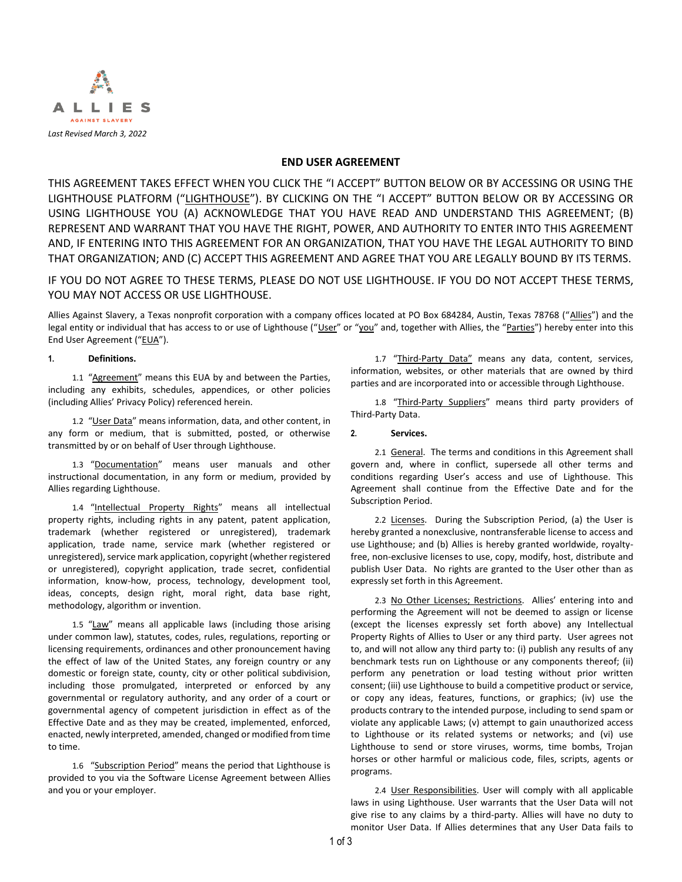

# **END USER AGREEMENT**

THIS AGREEMENT TAKES EFFECT WHEN YOU CLICK THE "I ACCEPT" BUTTON BELOW OR BY ACCESSING OR USING THE LIGHTHOUSE PLATFORM ("LIGHTHOUSE"). BY CLICKING ON THE "I ACCEPT" BUTTON BELOW OR BY ACCESSING OR USING LIGHTHOUSE YOU (A) ACKNOWLEDGE THAT YOU HAVE READ AND UNDERSTAND THIS AGREEMENT; (B) REPRESENT AND WARRANT THAT YOU HAVE THE RIGHT, POWER, AND AUTHORITY TO ENTER INTO THIS AGREEMENT AND, IF ENTERING INTO THIS AGREEMENT FOR AN ORGANIZATION, THAT YOU HAVE THE LEGAL AUTHORITY TO BIND THAT ORGANIZATION; AND (C) ACCEPT THIS AGREEMENT AND AGREE THAT YOU ARE LEGALLY BOUND BY ITS TERMS.

IF YOU DO NOT AGREE TO THESE TERMS, PLEASE DO NOT USE LIGHTHOUSE. IF YOU DO NOT ACCEPT THESE TERMS, YOU MAY NOT ACCESS OR USE LIGHTHOUSE.

Allies Against Slavery, a Texas nonprofit corporation with a company offices located at PO Box 684284, Austin, Texas 78768 ("Allies") and the legal entity or individual that has access to or use of Lighthouse ("User" or "you" and, together with Allies, the "Parties") hereby enter into this End User Agreement ("EUA").

#### **1. Definitions.**

1.1 "Agreement" means this EUA by and between the Parties, including any exhibits, schedules, appendices, or other policies (including Allies' Privacy Policy) referenced herein.

1.2 "User Data" means information, data, and other content, in any form or medium, that is submitted, posted, or otherwise transmitted by or on behalf of User through Lighthouse.

1.3 "Documentation" means user manuals and other instructional documentation, in any form or medium, provided by Allies regarding Lighthouse.

1.4 "Intellectual Property Rights" means all intellectual property rights, including rights in any patent, patent application, trademark (whether registered or unregistered), trademark application, trade name, service mark (whether registered or unregistered), service mark application, copyright (whether registered or unregistered), copyright application, trade secret, confidential information, know-how, process, technology, development tool, ideas, concepts, design right, moral right, data base right, methodology, algorithm or invention.

1.5 "Law" means all applicable laws (including those arising under common law), statutes, codes, rules, regulations, reporting or licensing requirements, ordinances and other pronouncement having the effect of law of the United States, any foreign country or any domestic or foreign state, county, city or other political subdivision, including those promulgated, interpreted or enforced by any governmental or regulatory authority, and any order of a court or governmental agency of competent jurisdiction in effect as of the Effective Date and as they may be created, implemented, enforced, enacted, newly interpreted, amended, changed or modified from time to time.

1.6 "Subscription Period" means the period that Lighthouse is provided to you via the Software License Agreement between Allies and you or your employer.

1.7 "Third-Party Data" means any data, content, services, information, websites, or other materials that are owned by third parties and are incorporated into or accessible through Lighthouse.

1.8 "Third-Party Suppliers" means third party providers of Third-Party Data.

#### **2. Services.**

2.1 General. The terms and conditions in this Agreement shall govern and, where in conflict, supersede all other terms and conditions regarding User's access and use of Lighthouse. This Agreement shall continue from the Effective Date and for the Subscription Period.

2.2 Licenses. During the Subscription Period, (a) the User is hereby granted a nonexclusive, nontransferable license to access and use Lighthouse; and (b) Allies is hereby granted worldwide, royaltyfree, non-exclusive licenses to use, copy, modify, host, distribute and publish User Data. No rights are granted to the User other than as expressly set forth in this Agreement.

2.3 No Other Licenses; Restrictions. Allies' entering into and performing the Agreement will not be deemed to assign or license (except the licenses expressly set forth above) any Intellectual Property Rights of Allies to User or any third party. User agrees not to, and will not allow any third party to: (i) publish any results of any benchmark tests run on Lighthouse or any components thereof; (ii) perform any penetration or load testing without prior written consent; (iii) use Lighthouse to build a competitive product or service, or copy any ideas, features, functions, or graphics; (iv) use the products contrary to the intended purpose, including to send spam or violate any applicable Laws; (v) attempt to gain unauthorized access to Lighthouse or its related systems or networks; and (vi) use Lighthouse to send or store viruses, worms, time bombs, Trojan horses or other harmful or malicious code, files, scripts, agents or programs.

2.4 User Responsibilities. User will comply with all applicable laws in using Lighthouse. User warrants that the User Data will not give rise to any claims by a third-party. Allies will have no duty to monitor User Data. If Allies determines that any User Data fails to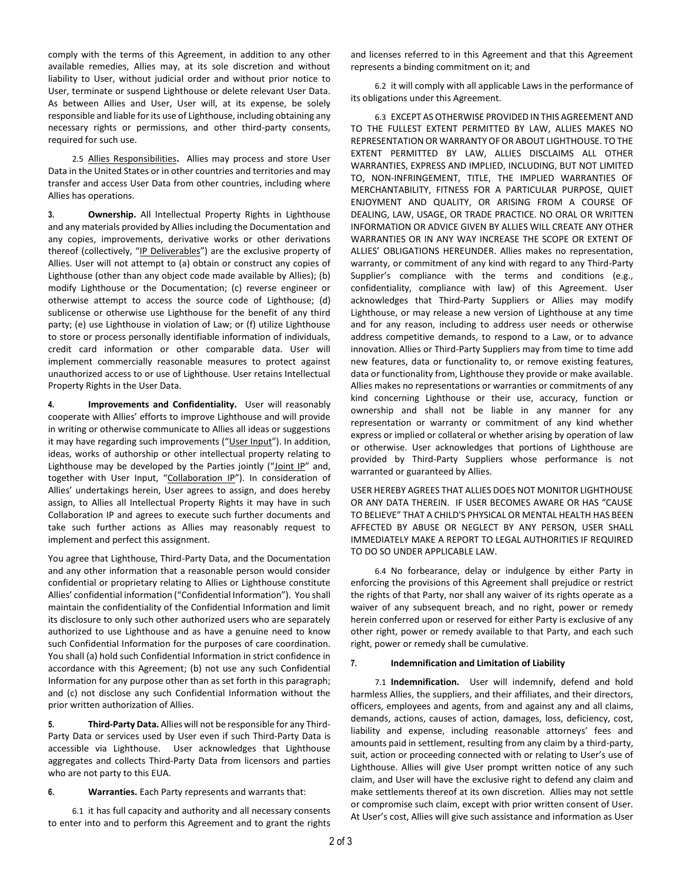comply with the terms of this Agreement, in addition to any other available remedies, Allies may, at its sole discretion and without liability to User, without judicial order and without prior notice to User, terminate or suspend Lighthouse or delete relevant User Data. As between Allies and User, User will, at its expense, be solely responsible and liable for its use of Lighthouse, including obtaining any necessary rights or permissions, and other third-party consents, required for such use.

2.5 Allies Responsibilities**.** Allies may process and store User Data in the United States or in other countries and territories and may transfer and access User Data from other countries, including where Allies has operations.

**3. Ownership.** All Intellectual Property Rights in Lighthouse and any materials provided by Allies including the Documentation and any copies, improvements, derivative works or other derivations thereof (collectively, "IP Deliverables") are the exclusive property of Allies. User will not attempt to (a) obtain or construct any copies of Lighthouse (other than any object code made available by Allies); (b) modify Lighthouse or the Documentation; (c) reverse engineer or otherwise attempt to access the source code of Lighthouse; (d) sublicense or otherwise use Lighthouse for the benefit of any third party; (e) use Lighthouse in violation of Law; or (f) utilize Lighthouse to store or process personally identifiable information of individuals, credit card information or other comparable data. User will implement commercially reasonable measures to protect against unauthorized access to or use of Lighthouse. User retains Intellectual Property Rights in the User Data.

**4. Improvements and Confidentiality.** User will reasonably cooperate with Allies' efforts to improve Lighthouse and will provide in writing or otherwise communicate to Allies all ideas or suggestions it may have regarding such improvements ("User Input"). In addition, ideas, works of authorship or other intellectual property relating to Lighthouse may be developed by the Parties jointly ("Joint IP" and, together with User Input, "Collaboration IP"). In consideration of Allies' undertakings herein, User agrees to assign, and does hereby assign, to Allies all Intellectual Property Rights it may have in such Collaboration IP and agrees to execute such further documents and take such further actions as Allies may reasonably request to implement and perfect this assignment.

You agree that Lighthouse, Third-Party Data, and the Documentation and any other information that a reasonable person would consider confidential or proprietary relating to Allies or Lighthouse constitute Allies' confidential information ("Confidential Information"). You shall maintain the confidentiality of the Confidential Information and limit its disclosure to only such other authorized users who are separately authorized to use Lighthouse and as have a genuine need to know such Confidential Information for the purposes of care coordination. You shall (a) hold such Confidential Information in strict confidence in accordance with this Agreement; (b) not use any such Confidential Information for any purpose other than as set forth in this paragraph; and (c) not disclose any such Confidential Information without the prior written authorization of Allies.

**5. Third-Party Data.** Allies will not be responsible for any Third-Party Data or services used by User even if such Third-Party Data is accessible via Lighthouse. User acknowledges that Lighthouse aggregates and collects Third-Party Data from licensors and parties who are not party to this EUA.

### **6. Warranties.** Each Party represents and warrants that:

6.1 it has full capacity and authority and all necessary consents to enter into and to perform this Agreement and to grant the rights

and licenses referred to in this Agreement and that this Agreement represents a binding commitment on it; and

6.2 it will comply with all applicable Laws in the performance of its obligations under this Agreement.

6.3 EXCEPT AS OTHERWISE PROVIDED IN THIS AGREEMENT AND TO THE FULLEST EXTENT PERMITTED BY LAW, ALLIES MAKES NO REPRESENTATION OR WARRANTY OF OR ABOUT LIGHTHOUSE. TO THE EXTENT PERMITTED BY LAW, ALLIES DISCLAIMS ALL OTHER WARRANTIES, EXPRESS AND IMPLIED, INCLUDING, BUT NOT LIMITED TO, NON-INFRINGEMENT, TITLE, THE IMPLIED WARRANTIES OF MERCHANTABILITY, FITNESS FOR A PARTICULAR PURPOSE, QUIET ENJOYMENT AND QUALITY, OR ARISING FROM A COURSE OF DEALING, LAW, USAGE, OR TRADE PRACTICE. NO ORAL OR WRITTEN INFORMATION OR ADVICE GIVEN BY ALLIES WILL CREATE ANY OTHER WARRANTIES OR IN ANY WAY INCREASE THE SCOPE OR EXTENT OF ALLIES' OBLIGATIONS HEREUNDER. Allies makes no representation, warranty, or commitment of any kind with regard to any Third-Party Supplier's compliance with the terms and conditions (e.g., confidentiality, compliance with law) of this Agreement. User acknowledges that Third-Party Suppliers or Allies may modify Lighthouse, or may release a new version of Lighthouse at any time and for any reason, including to address user needs or otherwise address competitive demands, to respond to a Law, or to advance innovation. Allies or Third-Party Suppliers may from time to time add new features, data or functionality to, or remove existing features, data or functionality from, Lighthouse they provide or make available. Allies makes no representations or warranties or commitments of any kind concerning Lighthouse or their use, accuracy, function or ownership and shall not be liable in any manner for any representation or warranty or commitment of any kind whether express or implied or collateral or whether arising by operation of law or otherwise. User acknowledges that portions of Lighthouse are provided by Third-Party Suppliers whose performance is not warranted or guaranteed by Allies.

USER HEREBY AGREES THAT ALLIES DOES NOT MONITOR LIGHTHOUSE OR ANY DATA THEREIN. IF USER BECOMES AWARE OR HAS "CAUSE TO BELIEVE" THAT A CHILD'S PHYSICAL OR MENTAL HEALTH HAS BEEN AFFECTED BY ABUSE OR NEGLECT BY ANY PERSON, USER SHALL IMMEDIATELY MAKE A REPORT TO LEGAL AUTHORITIES IF REQUIRED TO DO SO UNDER APPLICABLE LAW.

6.4 No forbearance, delay or indulgence by either Party in enforcing the provisions of this Agreement shall prejudice or restrict the rights of that Party, nor shall any waiver of its rights operate as a waiver of any subsequent breach, and no right, power or remedy herein conferred upon or reserved for either Party is exclusive of any other right, power or remedy available to that Party, and each such right, power or remedy shall be cumulative.

### **7. Indemnification and Limitation of Liability**

7.1 **Indemnification.** User will indemnify, defend and hold harmless Allies, the suppliers, and their affiliates, and their directors, officers, employees and agents, from and against any and all claims, demands, actions, causes of action, damages, loss, deficiency, cost, liability and expense, including reasonable attorneys' fees and amounts paid in settlement, resulting from any claim by a third-party, suit, action or proceeding connected with or relating to User's use of Lighthouse. Allies will give User prompt written notice of any such claim, and User will have the exclusive right to defend any claim and make settlements thereof at its own discretion. Allies may not settle or compromise such claim, except with prior written consent of User. At User's cost, Allies will give such assistance and information as User